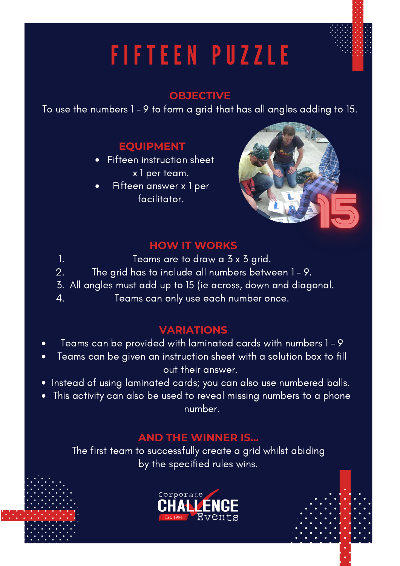## FIFTEEN PUZZLE

#### **OBJECTIVE**

To use the numbers 1 - 9 to form a grid that has all angles adding to 15.

## **EQUIPMENT**

- Fifteen instruction sheet x 1 per team.
- Fifteen answer x 1 per  $\bullet$ facilitator.

1.



#### **HOW IT WORKS**

- Teams are to draw a 3 x 3 grid.
- The grid has to include all numbers between 1 9. 2.
- All angles must add up to 15 (ie across, down and diagonal. 3.
- Teams can only use each number once. 4.

### **VARIATIONS**

- Teams can be provided with laminated cards with numbers 1 9  $\bullet$
- Teams can be given an instruction sheet with a solution box to fill out their answer.
- Instead of using laminated cards; you can also use numbered balls.
- This activity can also be used to reveal missing numbers to a phone number.

#### **AND THE WINNER IS...**

The first team to successfully create a grid whilst abiding by the specified rules wins.